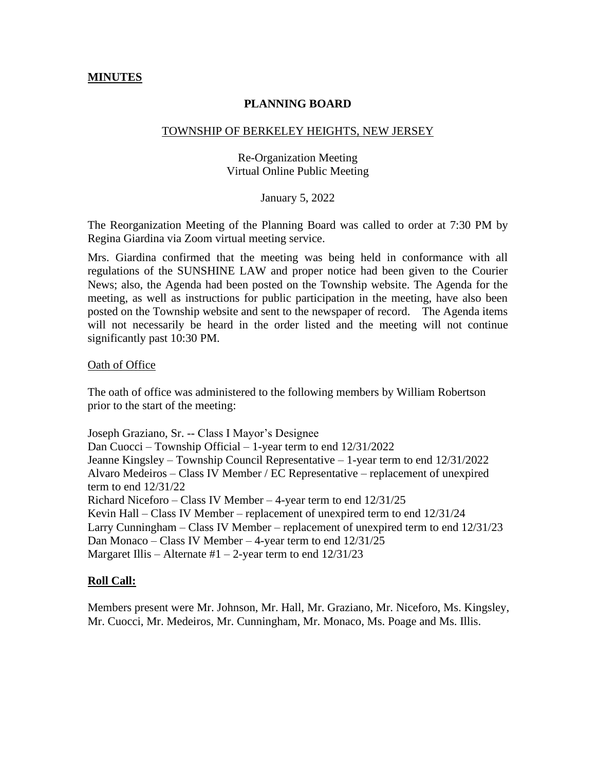## **MINUTES**

## **PLANNING BOARD**

#### TOWNSHIP OF BERKELEY HEIGHTS, NEW JERSEY

# Re-Organization Meeting Virtual Online Public Meeting

### January 5, 2022

The Reorganization Meeting of the Planning Board was called to order at 7:30 PM by Regina Giardina via Zoom virtual meeting service.

Mrs. Giardina confirmed that the meeting was being held in conformance with all regulations of the SUNSHINE LAW and proper notice had been given to the Courier News; also, the Agenda had been posted on the Township website. The Agenda for the meeting, as well as instructions for public participation in the meeting, have also been posted on the Township website and sent to the newspaper of record. The Agenda items will not necessarily be heard in the order listed and the meeting will not continue significantly past 10:30 PM.

### Oath of Office

The oath of office was administered to the following members by William Robertson prior to the start of the meeting:

Joseph Graziano, Sr. -- Class I Mayor's Designee Dan Cuocci – Township Official – 1-year term to end 12/31/2022 Jeanne Kingsley – Township Council Representative – 1-year term to end 12/31/2022 Alvaro Medeiros – Class IV Member / EC Representative – replacement of unexpired term to end 12/31/22 Richard Niceforo – Class IV Member – 4-year term to end 12/31/25 Kevin Hall – Class IV Member – replacement of unexpired term to end 12/31/24 Larry Cunningham – Class IV Member – replacement of unexpired term to end 12/31/23 Dan Monaco – Class IV Member – 4-year term to end 12/31/25 Margaret Illis – Alternate #1 – 2-year term to end  $12/31/23$ 

### **Roll Call:**

Members present were Mr. Johnson, Mr. Hall, Mr. Graziano, Mr. Niceforo, Ms. Kingsley, Mr. Cuocci, Mr. Medeiros, Mr. Cunningham, Mr. Monaco, Ms. Poage and Ms. Illis.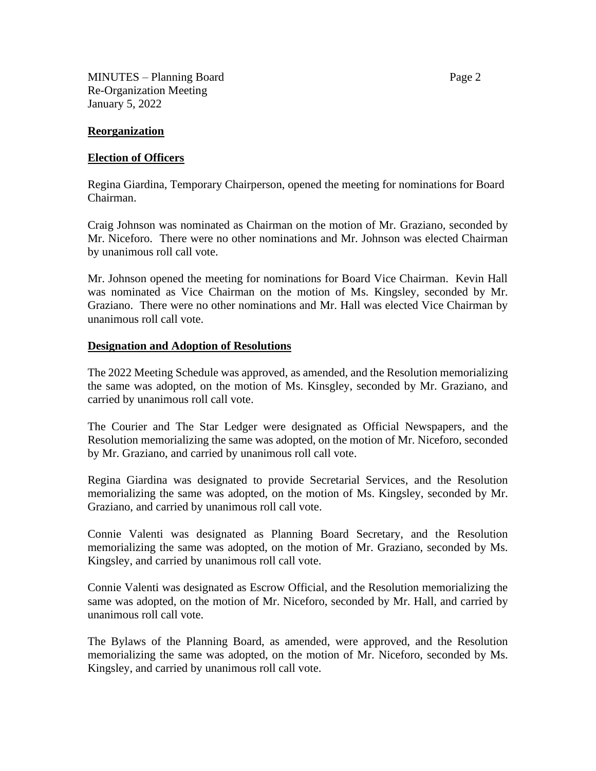MINUTES – Planning Board Page 2 Re-Organization Meeting January 5, 2022

## **Reorganization**

## **Election of Officers**

Regina Giardina, Temporary Chairperson, opened the meeting for nominations for Board Chairman.

Craig Johnson was nominated as Chairman on the motion of Mr. Graziano, seconded by Mr. Niceforo. There were no other nominations and Mr. Johnson was elected Chairman by unanimous roll call vote.

Mr. Johnson opened the meeting for nominations for Board Vice Chairman. Kevin Hall was nominated as Vice Chairman on the motion of Ms. Kingsley, seconded by Mr. Graziano. There were no other nominations and Mr. Hall was elected Vice Chairman by unanimous roll call vote.

## **Designation and Adoption of Resolutions**

The 2022 Meeting Schedule was approved, as amended, and the Resolution memorializing the same was adopted, on the motion of Ms. Kinsgley, seconded by Mr. Graziano, and carried by unanimous roll call vote.

The Courier and The Star Ledger were designated as Official Newspapers, and the Resolution memorializing the same was adopted, on the motion of Mr. Niceforo, seconded by Mr. Graziano, and carried by unanimous roll call vote.

Regina Giardina was designated to provide Secretarial Services, and the Resolution memorializing the same was adopted, on the motion of Ms. Kingsley, seconded by Mr. Graziano, and carried by unanimous roll call vote.

Connie Valenti was designated as Planning Board Secretary, and the Resolution memorializing the same was adopted, on the motion of Mr. Graziano, seconded by Ms. Kingsley, and carried by unanimous roll call vote.

Connie Valenti was designated as Escrow Official, and the Resolution memorializing the same was adopted, on the motion of Mr. Niceforo, seconded by Mr. Hall, and carried by unanimous roll call vote.

The Bylaws of the Planning Board, as amended, were approved, and the Resolution memorializing the same was adopted, on the motion of Mr. Niceforo, seconded by Ms. Kingsley, and carried by unanimous roll call vote.